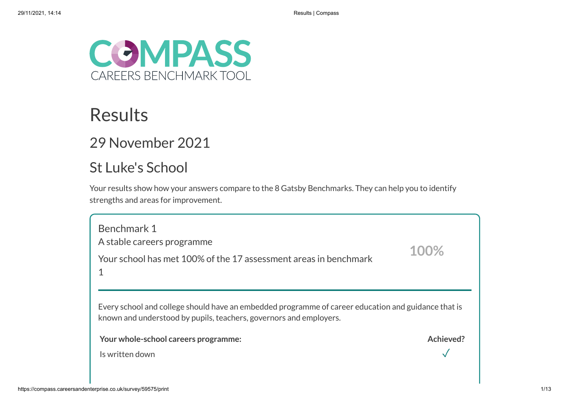

## Results

## 29 November 2021

## St Luke's School

Your results show how your answers compare to the 8 Gatsby Benchmarks. They can help you to identify strengths and areas for improvement.

Benchmark 1 A stable careers programme Your school has met 100% of the 17 assessment areas in benchmark 1 Every school and college should have an embedded programme of career education and guidance that is known and understood by pupils, teachers, governors and employers. **Your whole-school careers programme: Achieved?** Is written down **100%**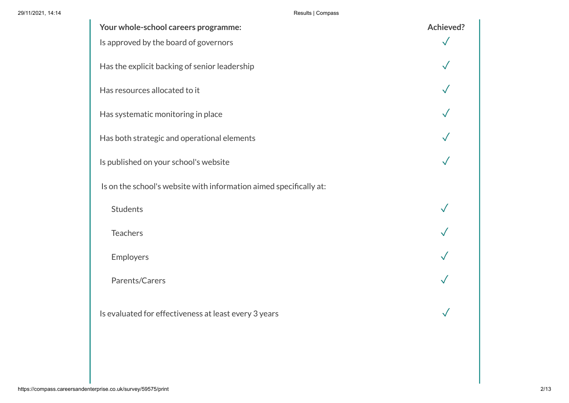29/11/2021, 14:14 Results | Compass

| Your whole-school careers programme:                               | <b>Achieved?</b> |
|--------------------------------------------------------------------|------------------|
| Is approved by the board of governors                              |                  |
| Has the explicit backing of senior leadership                      |                  |
| Has resources allocated to it                                      |                  |
| Has systematic monitoring in place                                 |                  |
| Has both strategic and operational elements                        |                  |
| Is published on your school's website                              |                  |
| Is on the school's website with information aimed specifically at: |                  |
| <b>Students</b>                                                    |                  |
| <b>Teachers</b>                                                    |                  |
| Employers                                                          |                  |
| Parents/Carers                                                     |                  |
| Is evaluated for effectiveness at least every 3 years              |                  |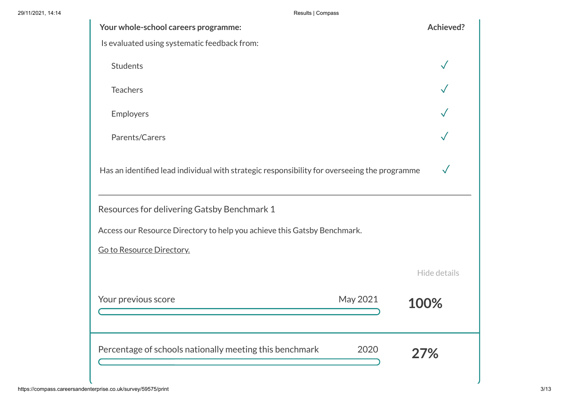29/11/2021, 14:14 Results | Compass

| Your whole-school careers programme:                                                         | <b>Achieved?</b> |
|----------------------------------------------------------------------------------------------|------------------|
| Is evaluated using systematic feedback from:                                                 |                  |
| <b>Students</b>                                                                              |                  |
| <b>Teachers</b>                                                                              |                  |
| Employers                                                                                    |                  |
| Parents/Carers                                                                               |                  |
| Has an identified lead individual with strategic responsibility for overseeing the programme | $\checkmark$     |
| Resources for delivering Gatsby Benchmark 1                                                  |                  |
| Access our Resource Directory to help you achieve this Gatsby Benchmark.                     |                  |
| Go to Resource Directory.                                                                    |                  |
|                                                                                              | Hide details     |
| Your previous score<br>May 2021                                                              | 100%             |
| Percentage of schools nationally meeting this benchmark<br>2020                              | 27%              |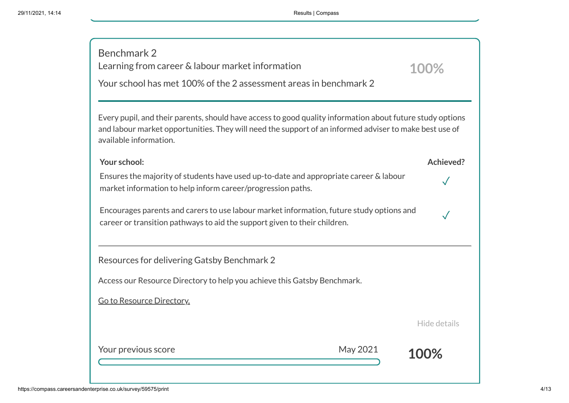| Benchmark 2<br>Learning from career & labour market information<br>Your school has met 100% of the 2 assessment areas in benchmark 2                                                                                                          | 100%             |
|-----------------------------------------------------------------------------------------------------------------------------------------------------------------------------------------------------------------------------------------------|------------------|
| Every pupil, and their parents, should have access to good quality information about future study options<br>and labour market opportunities. They will need the support of an informed adviser to make best use of<br>available information. |                  |
| Your school:                                                                                                                                                                                                                                  | <b>Achieved?</b> |
| Ensures the majority of students have used up-to-date and appropriate career & labour<br>market information to help inform career/progression paths.                                                                                          |                  |
| Encourages parents and carers to use labour market information, future study options and<br>career or transition pathways to aid the support given to their children.                                                                         |                  |
| Resources for delivering Gatsby Benchmark 2                                                                                                                                                                                                   |                  |
| Access our Resource Directory to help you achieve this Gatsby Benchmark.                                                                                                                                                                      |                  |
| Go to Resource Directory.                                                                                                                                                                                                                     |                  |
|                                                                                                                                                                                                                                               | Hide details     |
| Your previous score<br>May 2021                                                                                                                                                                                                               | 100%             |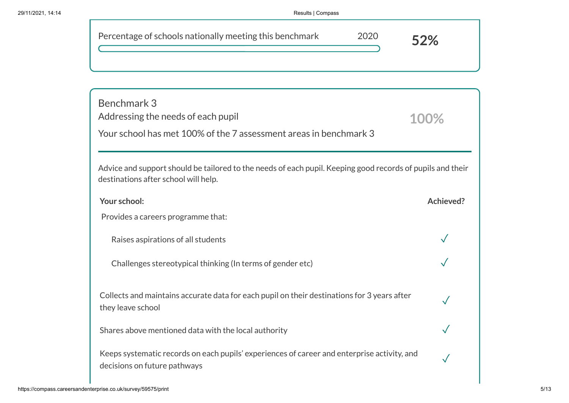| Results   Compass                                                                                                                                  |           |
|----------------------------------------------------------------------------------------------------------------------------------------------------|-----------|
| Percentage of schools nationally meeting this benchmark<br>2020                                                                                    | 52%       |
| Benchmark 3<br>Addressing the needs of each pupil                                                                                                  | 100%      |
| Your school has met 100% of the 7 assessment areas in benchmark 3                                                                                  |           |
| Advice and support should be tailored to the needs of each pupil. Keeping good records of pupils and their<br>destinations after school will help. |           |
| Your school:                                                                                                                                       | Achieved? |
| Provides a careers programme that:                                                                                                                 |           |
| Raises aspirations of all students                                                                                                                 |           |
| Challenges stereotypical thinking (In terms of gender etc)                                                                                         |           |

Collects and maintains accurate data for each pupil on their destinations for 3 years after they leave school

Shares above mentioned data with the local authority

Keeps systematic records on each pupils' experiences of career and enterprise activity, and decisions on future pathways

✓

✓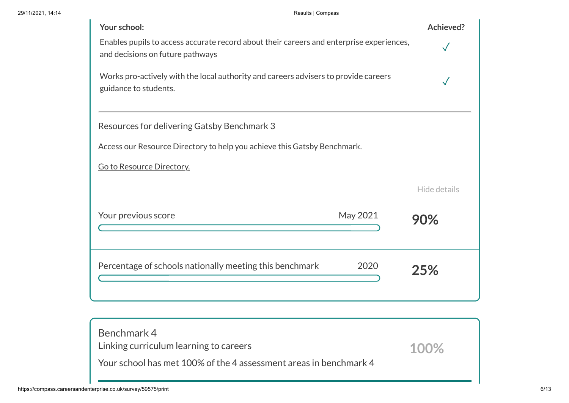| Your school:                                                                                                                 | Achieved?    |
|------------------------------------------------------------------------------------------------------------------------------|--------------|
| Enables pupils to access accurate record about their careers and enterprise experiences,<br>and decisions on future pathways |              |
| Works pro-actively with the local authority and careers advisers to provide careers<br>guidance to students.                 |              |
| Resources for delivering Gatsby Benchmark 3                                                                                  |              |
| Access our Resource Directory to help you achieve this Gatsby Benchmark.                                                     |              |
| Go to Resource Directory.                                                                                                    |              |
|                                                                                                                              | Hide details |
| May 2021<br>Your previous score                                                                                              | 90%          |
| Percentage of schools nationally meeting this benchmark<br>2020                                                              | 25%          |
|                                                                                                                              |              |

| Benchmark 4<br>Linking curriculum learning to careers             | 100% |
|-------------------------------------------------------------------|------|
| Your school has met 100% of the 4 assessment areas in benchmark 4 |      |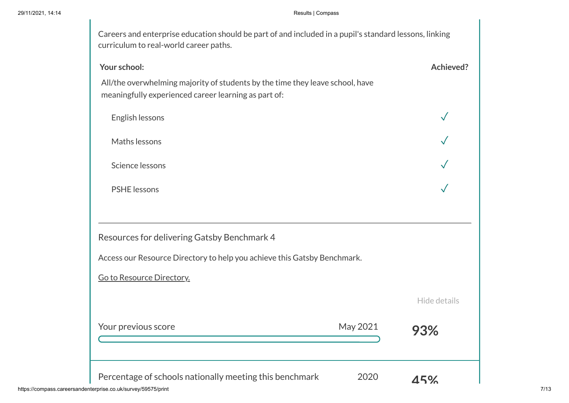## 29/11/2021, 14:14 Results | Compass

| Your school:                                                                                                                          | <b>Achieved?</b> |
|---------------------------------------------------------------------------------------------------------------------------------------|------------------|
| All/the overwhelming majority of students by the time they leave school, have<br>meaningfully experienced career learning as part of: |                  |
| English lessons                                                                                                                       |                  |
| Maths lessons                                                                                                                         |                  |
| Science lessons                                                                                                                       |                  |
| <b>PSHE</b> lessons                                                                                                                   |                  |
| Resources for delivering Gatsby Benchmark 4                                                                                           |                  |
| Access our Resource Directory to help you achieve this Gatsby Benchmark.                                                              |                  |
| Go to Resource Directory.                                                                                                             |                  |
|                                                                                                                                       | Hide details     |
| May 2021<br>Your previous score                                                                                                       | 93%              |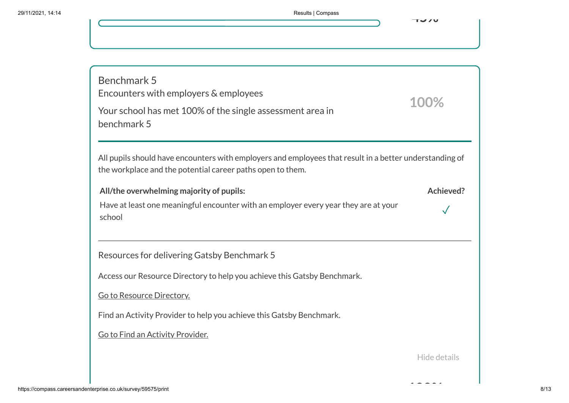**100%**

Benchmark 5 Encounters with employers & employees Your school has met 100% of the single assessment area in benchmark 5 All pupils should have encounters with employers and employees that result in a better understanding of the workplace and the potential career paths open to them. **All/the overwhelming majority of pupils: Achieved?** Have at least one meaningful encounter with an employer every year they are at your school ✓ Resources for delivering Gatsby Benchmark 5 Access our Resource Directory to help you achieve this Gatsby Benchmark. Go to Resource [Directory.](https://resources.careersandenterprise.co.uk/or-browse-resources/gatsby-benchmarks/gatsby-benchmark-5) Find an Activity Provider to help you achieve this Gatsby Benchmark. Go to Find an Activity [Provider.](https://find-activity-provider.careersandenterprise.co.uk/search) **100%** Hide details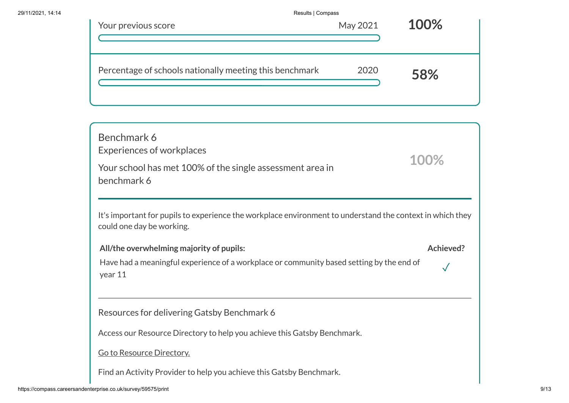|                                                                          | Results   Compass |      |
|--------------------------------------------------------------------------|-------------------|------|
| Your previous score                                                      | May 2021          | 100% |
|                                                                          |                   |      |
| Percentage of schools nationally meeting this benchmark                  | 2020              | 58%  |
|                                                                          |                   |      |
| Benchmark 6<br><b>Experiences of workplaces</b>                          |                   |      |
| Your school has met 100% of the single assessment area in<br>benchmark 6 |                   | 100% |

It's important for pupils to experience the workplace environment to understand the context in which they could one day be working.

**All/the overwhelming majority of pupils: Achieved?**

✓

Have had a meaningful experience of a workplace or community based setting by the end of year 11

Resources for delivering Gatsby Benchmark 6

Access our Resource Directory to help you achieve this Gatsby Benchmark.

Go to Resource [Directory.](https://resources.careersandenterprise.co.uk/or-browse-resources/gatsby-benchmarks/gatsby-benchmark-6)

Find an Activity Provider to help you achieve this Gatsby Benchmark.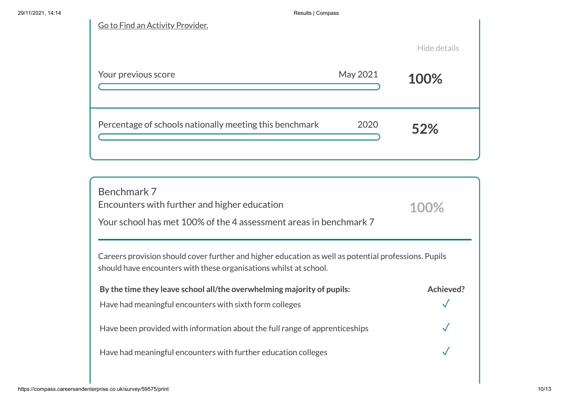| Go to Find an Activity Provider.                        |          |              |
|---------------------------------------------------------|----------|--------------|
|                                                         |          | Hide details |
| Your previous score                                     | May 2021 | 100%         |
| Percentage of schools nationally meeting this benchmark | 2020     | 52%          |

| Benchmark 7<br>Encounters with further and higher education<br>Your school has met 100% of the 4 assessment areas in benchmark 7                                          | 100%      |
|---------------------------------------------------------------------------------------------------------------------------------------------------------------------------|-----------|
| Careers provision should cover further and higher education as well as potential professions. Pupils<br>should have encounters with these organisations whilst at school. |           |
| By the time they leave school all/the overwhelming majority of pupils:<br>Have had meaningful encounters with sixth form colleges                                         | Achieved? |
| Have been provided with information about the full range of apprenticeships                                                                                               |           |
| Have had meaningful encounters with further education colleges                                                                                                            |           |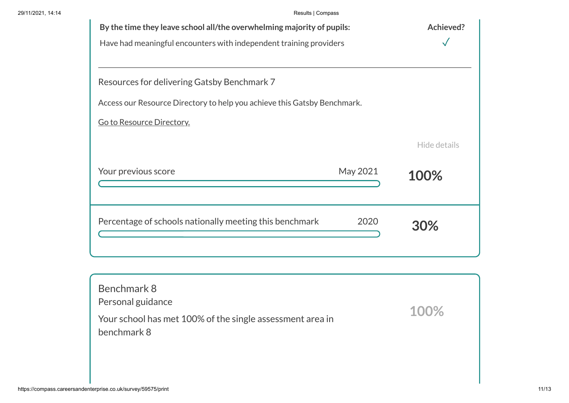| By the time they leave school all/the overwhelming majority of pupils:   |          | Achieved?    |
|--------------------------------------------------------------------------|----------|--------------|
| Have had meaningful encounters with independent training providers       |          |              |
|                                                                          |          |              |
| Resources for delivering Gatsby Benchmark 7                              |          |              |
| Access our Resource Directory to help you achieve this Gatsby Benchmark. |          |              |
| Go to Resource Directory.                                                |          |              |
|                                                                          |          | Hide details |
| Your previous score                                                      | May 2021 | 100%         |
| Percentage of schools nationally meeting this benchmark                  | 2020     | 30%          |

| Benchmark 8<br>Personal guidance                                         |      |
|--------------------------------------------------------------------------|------|
| Your school has met 100% of the single assessment area in<br>benchmark 8 | 100% |
|                                                                          |      |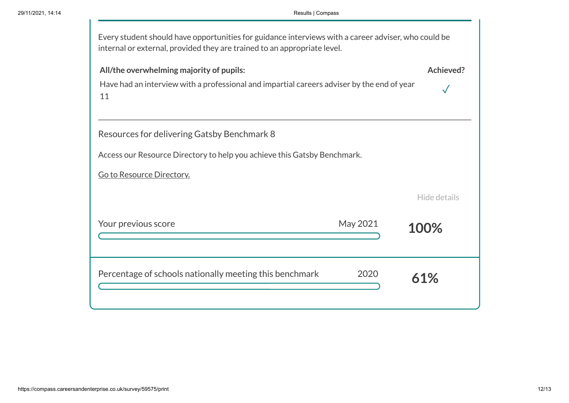T.

| Every student should have opportunities for guidance interviews with a career adviser, who could be<br>internal or external, provided they are trained to an appropriate level. |              |
|---------------------------------------------------------------------------------------------------------------------------------------------------------------------------------|--------------|
| All/the overwhelming majority of pupils:<br>Have had an interview with a professional and impartial careers adviser by the end of year<br>11                                    | Achieved?    |
| Resources for delivering Gatsby Benchmark 8<br>Access our Resource Directory to help you achieve this Gatsby Benchmark.                                                         |              |
| Go to Resource Directory.                                                                                                                                                       | Hide details |
| May 2021<br>Your previous score                                                                                                                                                 | 100%         |
| Percentage of schools nationally meeting this benchmark<br>2020                                                                                                                 | 61%          |